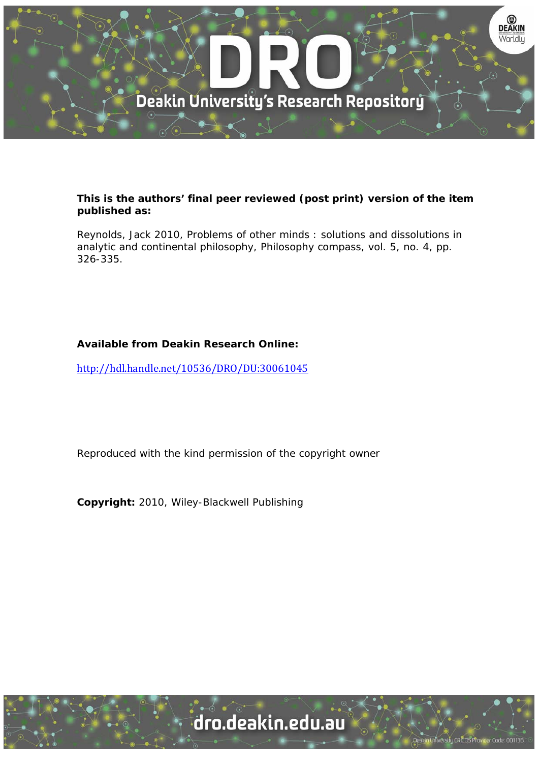

### **This is the authors' final peer reviewed (post print) version of the item published as:**

Reynolds, Jack 2010, Problems of other minds : solutions and dissolutions in analytic and continental philosophy, Philosophy compass, vol. 5, no. 4, pp. 326-335.

## **Available from Deakin Research Online:**

http://hdl.handle.net/10536/DRO/DU:30061045

Reproduced with the kind permission of the copyright owner

**Copyright:** 2010, Wiley-Blackwell Publishing

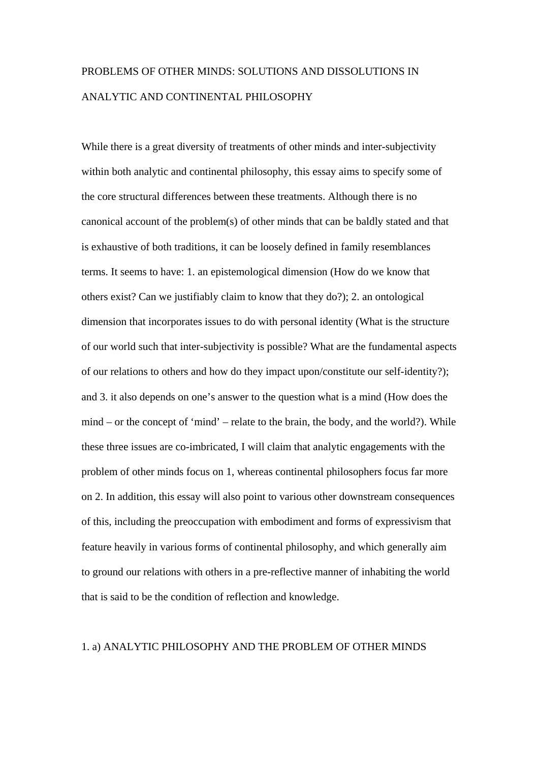# PROBLEMS OF OTHER MINDS: SOLUTIONS AND DISSOLUTIONS IN ANALYTIC AND CONTINENTAL PHILOSOPHY

While there is a great diversity of treatments of other minds and inter-subjectivity within both analytic and continental philosophy, this essay aims to specify some of the core structural differences between these treatments. Although there is no canonical account of the problem(s) of other minds that can be baldly stated and that is exhaustive of both traditions, it can be loosely defined in family resemblances terms. It seems to have: 1. an epistemological dimension (How do we know that others exist? Can we justifiably claim to know that they do?); 2. an ontological dimension that incorporates issues to do with personal identity (What is the structure of our world such that inter-subjectivity is possible? What are the fundamental aspects of our relations to others and how do they impact upon/constitute our self-identity?); and 3. it also depends on one's answer to the question what is a mind (How does the mind – or the concept of 'mind' – relate to the brain, the body, and the world?). While these three issues are co-imbricated, I will claim that analytic engagements with the problem of other minds focus on 1, whereas continental philosophers focus far more on 2. In addition, this essay will also point to various other downstream consequences of this, including the preoccupation with embodiment and forms of expressivism that feature heavily in various forms of continental philosophy, and which generally aim to ground our relations with others in a pre-reflective manner of inhabiting the world that is said to be the condition of reflection and knowledge.

#### 1. a) ANALYTIC PHILOSOPHY AND THE PROBLEM OF OTHER MINDS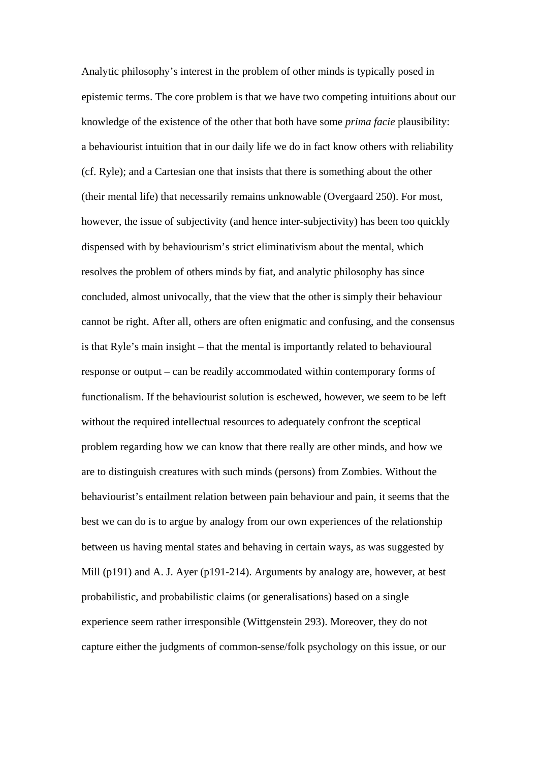Analytic philosophy's interest in the problem of other minds is typically posed in epistemic terms. The core problem is that we have two competing intuitions about our knowledge of the existence of the other that both have some *prima facie* plausibility: a behaviourist intuition that in our daily life we do in fact know others with reliability (cf. Ryle); and a Cartesian one that insists that there is something about the other (their mental life) that necessarily remains unknowable (Overgaard 250). For most, however, the issue of subjectivity (and hence inter-subjectivity) has been too quickly dispensed with by behaviourism's strict eliminativism about the mental, which resolves the problem of others minds by fiat, and analytic philosophy has since concluded, almost univocally, that the view that the other is simply their behaviour cannot be right. After all, others are often enigmatic and confusing, and the consensus is that Ryle's main insight – that the mental is importantly related to behavioural response or output – can be readily accommodated within contemporary forms of functionalism. If the behaviourist solution is eschewed, however, we seem to be left without the required intellectual resources to adequately confront the sceptical problem regarding how we can know that there really are other minds, and how we are to distinguish creatures with such minds (persons) from Zombies. Without the behaviourist's entailment relation between pain behaviour and pain, it seems that the best we can do is to argue by analogy from our own experiences of the relationship between us having mental states and behaving in certain ways, as was suggested by Mill (p191) and A. J. Ayer (p191-214). Arguments by analogy are, however, at best probabilistic, and probabilistic claims (or generalisations) based on a single experience seem rather irresponsible (Wittgenstein 293). Moreover, they do not capture either the judgments of common-sense/folk psychology on this issue, or our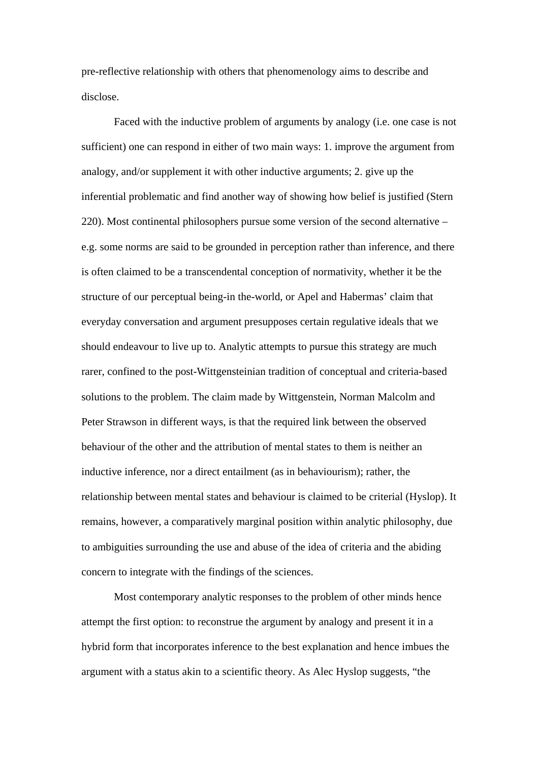pre-reflective relationship with others that phenomenology aims to describe and disclose.

Faced with the inductive problem of arguments by analogy (i.e. one case is not sufficient) one can respond in either of two main ways: 1. improve the argument from analogy, and/or supplement it with other inductive arguments; 2. give up the inferential problematic and find another way of showing how belief is justified (Stern 220). Most continental philosophers pursue some version of the second alternative – e.g. some norms are said to be grounded in perception rather than inference, and there is often claimed to be a transcendental conception of normativity, whether it be the structure of our perceptual being-in the-world, or Apel and Habermas' claim that everyday conversation and argument presupposes certain regulative ideals that we should endeavour to live up to. Analytic attempts to pursue this strategy are much rarer, confined to the post-Wittgensteinian tradition of conceptual and criteria-based solutions to the problem. The claim made by Wittgenstein, Norman Malcolm and Peter Strawson in different ways, is that the required link between the observed behaviour of the other and the attribution of mental states to them is neither an inductive inference, nor a direct entailment (as in behaviourism); rather, the relationship between mental states and behaviour is claimed to be criterial (Hyslop). It remains, however, a comparatively marginal position within analytic philosophy, due to ambiguities surrounding the use and abuse of the idea of criteria and the abiding concern to integrate with the findings of the sciences.

Most contemporary analytic responses to the problem of other minds hence attempt the first option: to reconstrue the argument by analogy and present it in a hybrid form that incorporates inference to the best explanation and hence imbues the argument with a status akin to a scientific theory. As Alec Hyslop suggests, "the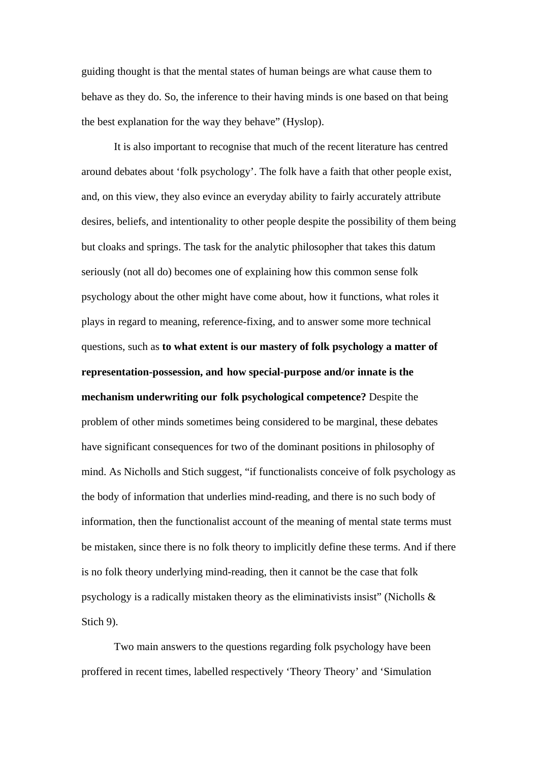guiding thought is that the mental states of human beings are what cause them to behave as they do. So, the inference to their having minds is one based on that being the best explanation for the way they behave" (Hyslop).

It is also important to recognise that much of the recent literature has centred around debates about 'folk psychology'. The folk have a faith that other people exist, and, on this view, they also evince an everyday ability to fairly accurately attribute desires, beliefs, and intentionality to other people despite the possibility of them being but cloaks and springs. The task for the analytic philosopher that takes this datum seriously (not all do) becomes one of explaining how this common sense folk psychology about the other might have come about, how it functions, what roles it plays in regard to meaning, reference-fixing, and to answer some more technical questions, such as **to what extent is our mastery of folk psychology a matter of representation-possession, and how special-purpose and/or innate is the mechanism underwriting our folk psychological competence?** Despite the problem of other minds sometimes being considered to be marginal, these debates have significant consequences for two of the dominant positions in philosophy of mind. As Nicholls and Stich suggest, "if functionalists conceive of folk psychology as the body of information that underlies mind-reading, and there is no such body of information, then the functionalist account of the meaning of mental state terms must be mistaken, since there is no folk theory to implicitly define these terms. And if there is no folk theory underlying mind-reading, then it cannot be the case that folk psychology is a radically mistaken theory as the eliminativists insist" (Nicholls & Stich 9).

Two main answers to the questions regarding folk psychology have been proffered in recent times, labelled respectively 'Theory Theory' and 'Simulation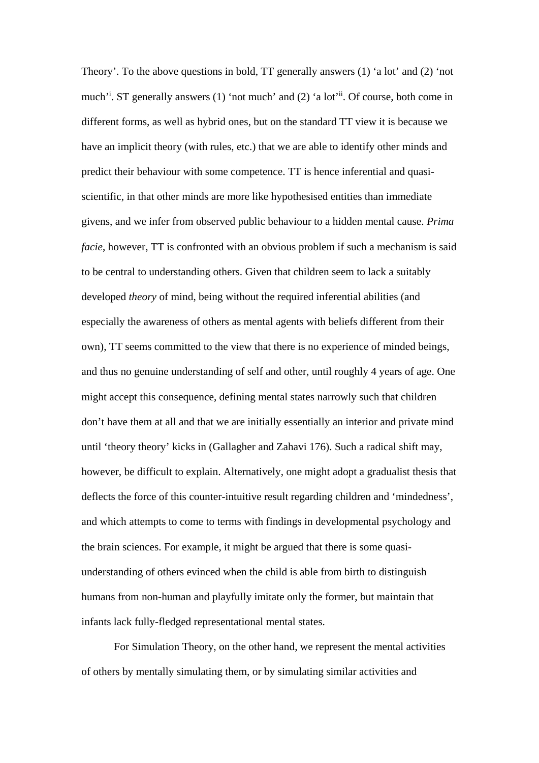Theory'. To the above questions in bold, TT generally answers (1) 'a lot' and (2) 'not much<sup>'i</sup>. ST generally answers (1) 'not much' and (2) 'a lot'<sup>ii</sup>. Of course, both come in different forms, as well as hybrid ones, but on the standard TT view it is because we have an implicit theory (with rules, etc.) that we are able to identify other minds and predict their behaviour with some competence. TT is hence inferential and quasiscientific, in that other minds are more like hypothesised entities than immediate givens, and we infer from observed public behaviour to a hidden mental cause. *Prima facie*, however, TT is confronted with an obvious problem if such a mechanism is said to be central to understanding others. Given that children seem to lack a suitably developed *theory* of mind, being without the required inferential abilities (and especially the awareness of others as mental agents with beliefs different from their own), TT seems committed to the view that there is no experience of minded beings, and thus no genuine understanding of self and other, until roughly 4 years of age. One might accept this consequence, defining mental states narrowly such that children don't have them at all and that we are initially essentially an interior and private mind until 'theory theory' kicks in (Gallagher and Zahavi 176). Such a radical shift may, however, be difficult to explain. Alternatively, one might adopt a gradualist thesis that deflects the force of this counter-intuitive result regarding children and 'mindedness', and which attempts to come to terms with findings in developmental psychology and the brain sciences. For example, it might be argued that there is some quasiunderstanding of others evinced when the child is able from birth to distinguish humans from non-human and playfully imitate only the former, but maintain that infants lack fully-fledged representational mental states.

For Simulation Theory, on the other hand, we represent the mental activities of others by mentally simulating them, or by simulating similar activities and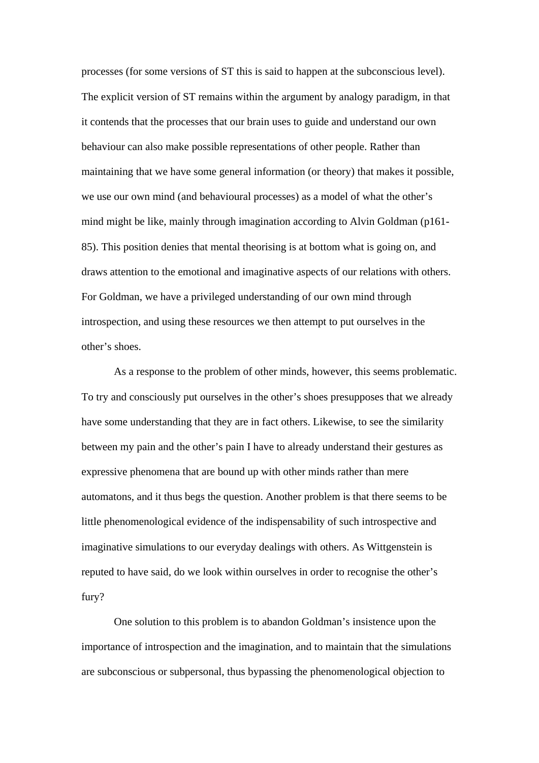processes (for some versions of ST this is said to happen at the subconscious level). The explicit version of ST remains within the argument by analogy paradigm, in that it contends that the processes that our brain uses to guide and understand our own behaviour can also make possible representations of other people. Rather than maintaining that we have some general information (or theory) that makes it possible, we use our own mind (and behavioural processes) as a model of what the other's mind might be like, mainly through imagination according to Alvin Goldman (p161- 85). This position denies that mental theorising is at bottom what is going on, and draws attention to the emotional and imaginative aspects of our relations with others. For Goldman, we have a privileged understanding of our own mind through introspection, and using these resources we then attempt to put ourselves in the other's shoes.

As a response to the problem of other minds, however, this seems problematic. To try and consciously put ourselves in the other's shoes presupposes that we already have some understanding that they are in fact others. Likewise, to see the similarity between my pain and the other's pain I have to already understand their gestures as expressive phenomena that are bound up with other minds rather than mere automatons, and it thus begs the question. Another problem is that there seems to be little phenomenological evidence of the indispensability of such introspective and imaginative simulations to our everyday dealings with others. As Wittgenstein is reputed to have said, do we look within ourselves in order to recognise the other's fury?

One solution to this problem is to abandon Goldman's insistence upon the importance of introspection and the imagination, and to maintain that the simulations are subconscious or subpersonal, thus bypassing the phenomenological objection to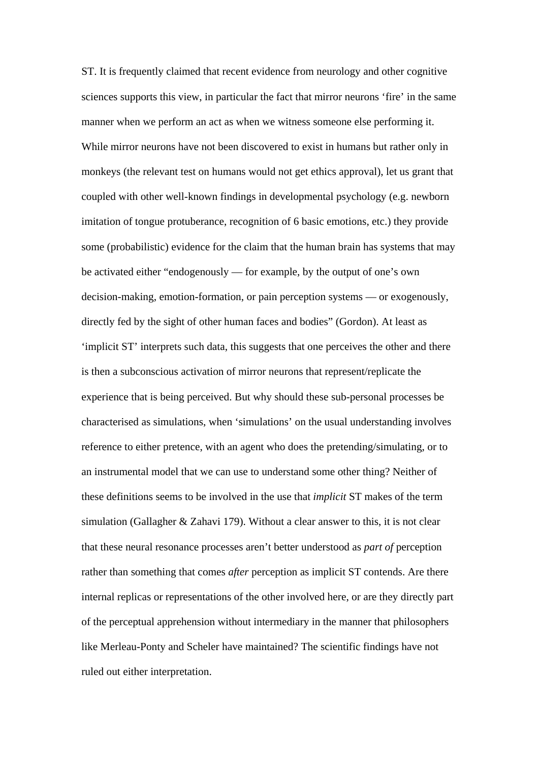ST. It is frequently claimed that recent evidence from neurology and other cognitive sciences supports this view, in particular the fact that mirror neurons 'fire' in the same manner when we perform an act as when we witness someone else performing it. While mirror neurons have not been discovered to exist in humans but rather only in monkeys (the relevant test on humans would not get ethics approval), let us grant that coupled with other well-known findings in developmental psychology (e.g. newborn imitation of tongue protuberance, recognition of 6 basic emotions, etc.) they provide some (probabilistic) evidence for the claim that the human brain has systems that may be activated either "endogenously — for example, by the output of one's own decision-making, emotion-formation, or pain perception systems — or exogenously, directly fed by the sight of other human faces and bodies" (Gordon). At least as 'implicit ST' interprets such data, this suggests that one perceives the other and there is then a subconscious activation of mirror neurons that represent/replicate the experience that is being perceived. But why should these sub-personal processes be characterised as simulations, when 'simulations' on the usual understanding involves reference to either pretence, with an agent who does the pretending/simulating, or to an instrumental model that we can use to understand some other thing? Neither of these definitions seems to be involved in the use that *implicit* ST makes of the term simulation (Gallagher & Zahavi 179). Without a clear answer to this, it is not clear that these neural resonance processes aren't better understood as *part of* perception rather than something that comes *after* perception as implicit ST contends. Are there internal replicas or representations of the other involved here, or are they directly part of the perceptual apprehension without intermediary in the manner that philosophers like Merleau-Ponty and Scheler have maintained? The scientific findings have not ruled out either interpretation.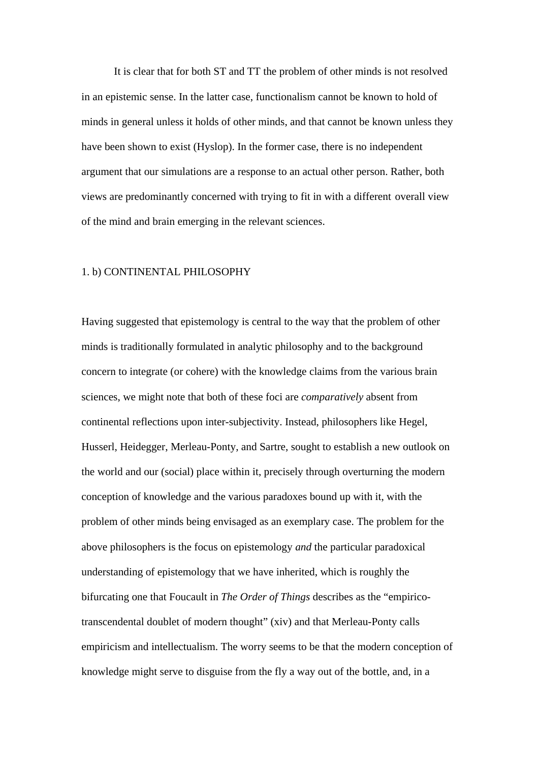It is clear that for both ST and TT the problem of other minds is not resolved in an epistemic sense. In the latter case, functionalism cannot be known to hold of minds in general unless it holds of other minds, and that cannot be known unless they have been shown to exist (Hyslop). In the former case, there is no independent argument that our simulations are a response to an actual other person. Rather, both views are predominantly concerned with trying to fit in with a different overall view of the mind and brain emerging in the relevant sciences.

#### 1. b) CONTINENTAL PHILOSOPHY

Having suggested that epistemology is central to the way that the problem of other minds is traditionally formulated in analytic philosophy and to the background concern to integrate (or cohere) with the knowledge claims from the various brain sciences, we might note that both of these foci are *comparatively* absent from continental reflections upon inter-subjectivity. Instead, philosophers like Hegel, Husserl, Heidegger, Merleau-Ponty, and Sartre, sought to establish a new outlook on the world and our (social) place within it, precisely through overturning the modern conception of knowledge and the various paradoxes bound up with it, with the problem of other minds being envisaged as an exemplary case. The problem for the above philosophers is the focus on epistemology *and* the particular paradoxical understanding of epistemology that we have inherited, which is roughly the bifurcating one that Foucault in *The Order of Things* describes as the "empiricotranscendental doublet of modern thought" (xiv) and that Merleau-Ponty calls empiricism and intellectualism. The worry seems to be that the modern conception of knowledge might serve to disguise from the fly a way out of the bottle, and, in a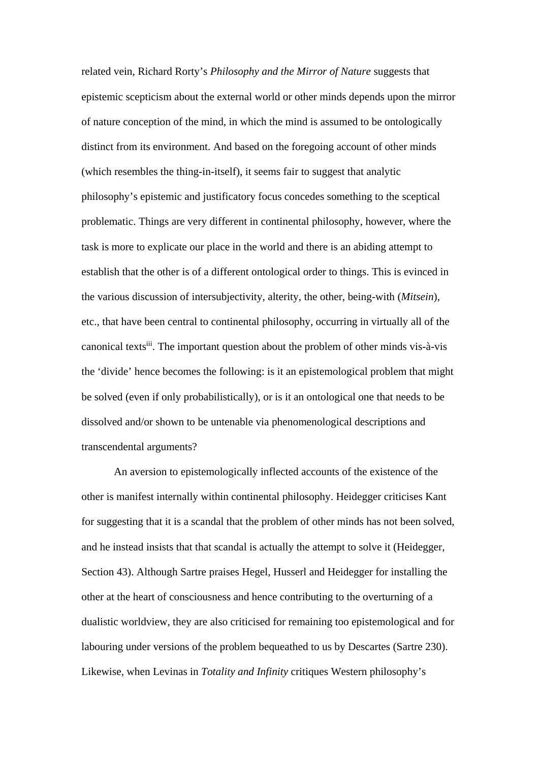related vein, Richard Rorty's *Philosophy and the Mirror of Nature* suggests that epistemic scepticism about the external world or other minds depends upon the mirror of nature conception of the mind, in which the mind is assumed to be ontologically distinct from its environment. And based on the foregoing account of other minds (which resembles the thing-in-itself), it seems fair to suggest that analytic philosophy's epistemic and justificatory focus concedes something to the sceptical problematic. Things are very different in continental philosophy, however, where the task is more to explicate our place in the world and there is an abiding attempt to establish that the other is of a different ontological order to things. This is evinced in the various discussion of intersubjectivity, alterity, the other, being-with (*Mitsein*), etc., that have been central to continental philosophy, occurring in virtually all of the canonical textsiii. The important question about the problem of other minds vis-à-vis the 'divide' hence becomes the following: is it an epistemological problem that might be solved (even if only probabilistically), or is it an ontological one that needs to be dissolved and/or shown to be untenable via phenomenological descriptions and transcendental arguments?

An aversion to epistemologically inflected accounts of the existence of the other is manifest internally within continental philosophy. Heidegger criticises Kant for suggesting that it is a scandal that the problem of other minds has not been solved, and he instead insists that that scandal is actually the attempt to solve it (Heidegger, Section 43). Although Sartre praises Hegel, Husserl and Heidegger for installing the other at the heart of consciousness and hence contributing to the overturning of a dualistic worldview, they are also criticised for remaining too epistemological and for labouring under versions of the problem bequeathed to us by Descartes (Sartre 230). Likewise, when Levinas in *Totality and Infinity* critiques Western philosophy's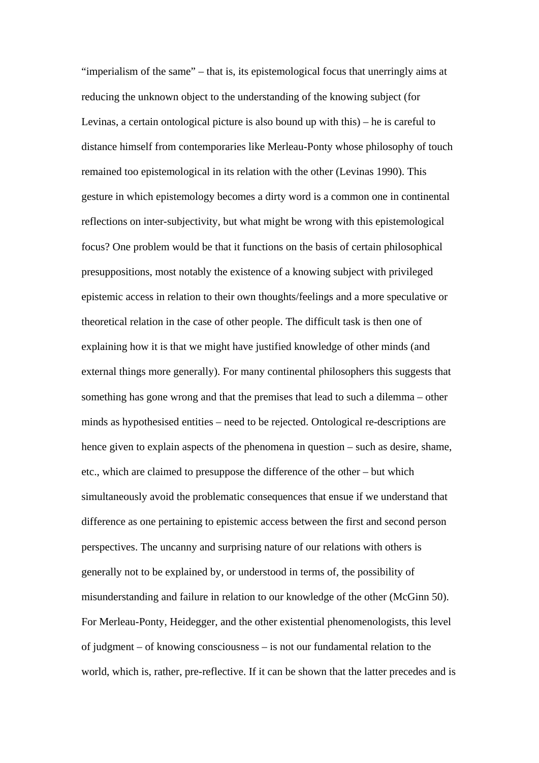"imperialism of the same" – that is, its epistemological focus that unerringly aims at reducing the unknown object to the understanding of the knowing subject (for Levinas, a certain ontological picture is also bound up with this) – he is careful to distance himself from contemporaries like Merleau-Ponty whose philosophy of touch remained too epistemological in its relation with the other (Levinas 1990). This gesture in which epistemology becomes a dirty word is a common one in continental reflections on inter-subjectivity, but what might be wrong with this epistemological focus? One problem would be that it functions on the basis of certain philosophical presuppositions, most notably the existence of a knowing subject with privileged epistemic access in relation to their own thoughts/feelings and a more speculative or theoretical relation in the case of other people. The difficult task is then one of explaining how it is that we might have justified knowledge of other minds (and external things more generally). For many continental philosophers this suggests that something has gone wrong and that the premises that lead to such a dilemma – other minds as hypothesised entities – need to be rejected. Ontological re-descriptions are hence given to explain aspects of the phenomena in question – such as desire, shame, etc., which are claimed to presuppose the difference of the other – but which simultaneously avoid the problematic consequences that ensue if we understand that difference as one pertaining to epistemic access between the first and second person perspectives. The uncanny and surprising nature of our relations with others is generally not to be explained by, or understood in terms of, the possibility of misunderstanding and failure in relation to our knowledge of the other (McGinn 50). For Merleau-Ponty, Heidegger, and the other existential phenomenologists, this level of judgment – of knowing consciousness – is not our fundamental relation to the world, which is, rather, pre-reflective. If it can be shown that the latter precedes and is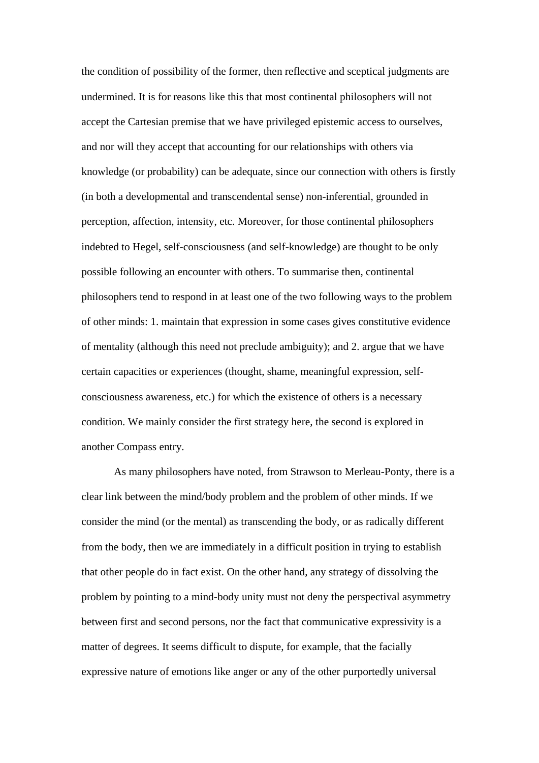the condition of possibility of the former, then reflective and sceptical judgments are undermined. It is for reasons like this that most continental philosophers will not accept the Cartesian premise that we have privileged epistemic access to ourselves, and nor will they accept that accounting for our relationships with others via knowledge (or probability) can be adequate, since our connection with others is firstly (in both a developmental and transcendental sense) non-inferential, grounded in perception, affection, intensity, etc. Moreover, for those continental philosophers indebted to Hegel, self-consciousness (and self-knowledge) are thought to be only possible following an encounter with others. To summarise then, continental philosophers tend to respond in at least one of the two following ways to the problem of other minds: 1. maintain that expression in some cases gives constitutive evidence of mentality (although this need not preclude ambiguity); and 2. argue that we have certain capacities or experiences (thought, shame, meaningful expression, selfconsciousness awareness, etc.) for which the existence of others is a necessary condition. We mainly consider the first strategy here, the second is explored in another Compass entry.

As many philosophers have noted, from Strawson to Merleau-Ponty, there is a clear link between the mind/body problem and the problem of other minds. If we consider the mind (or the mental) as transcending the body, or as radically different from the body, then we are immediately in a difficult position in trying to establish that other people do in fact exist. On the other hand, any strategy of dissolving the problem by pointing to a mind-body unity must not deny the perspectival asymmetry between first and second persons, nor the fact that communicative expressivity is a matter of degrees. It seems difficult to dispute, for example, that the facially expressive nature of emotions like anger or any of the other purportedly universal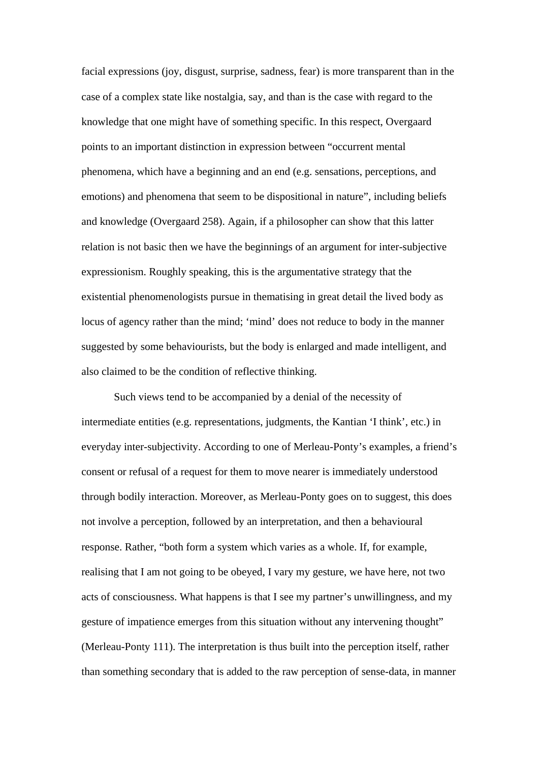facial expressions (joy, disgust, surprise, sadness, fear) is more transparent than in the case of a complex state like nostalgia, say, and than is the case with regard to the knowledge that one might have of something specific. In this respect, Overgaard points to an important distinction in expression between "occurrent mental phenomena, which have a beginning and an end (e.g. sensations, perceptions, and emotions) and phenomena that seem to be dispositional in nature", including beliefs and knowledge (Overgaard 258). Again, if a philosopher can show that this latter relation is not basic then we have the beginnings of an argument for inter-subjective expressionism. Roughly speaking, this is the argumentative strategy that the existential phenomenologists pursue in thematising in great detail the lived body as locus of agency rather than the mind; 'mind' does not reduce to body in the manner suggested by some behaviourists, but the body is enlarged and made intelligent, and also claimed to be the condition of reflective thinking.

Such views tend to be accompanied by a denial of the necessity of intermediate entities (e.g. representations, judgments, the Kantian 'I think', etc.) in everyday inter-subjectivity. According to one of Merleau-Ponty's examples, a friend's consent or refusal of a request for them to move nearer is immediately understood through bodily interaction. Moreover, as Merleau-Ponty goes on to suggest, this does not involve a perception, followed by an interpretation, and then a behavioural response. Rather, "both form a system which varies as a whole. If, for example, realising that I am not going to be obeyed, I vary my gesture, we have here, not two acts of consciousness. What happens is that I see my partner's unwillingness, and my gesture of impatience emerges from this situation without any intervening thought" (Merleau-Ponty 111). The interpretation is thus built into the perception itself, rather than something secondary that is added to the raw perception of sense-data, in manner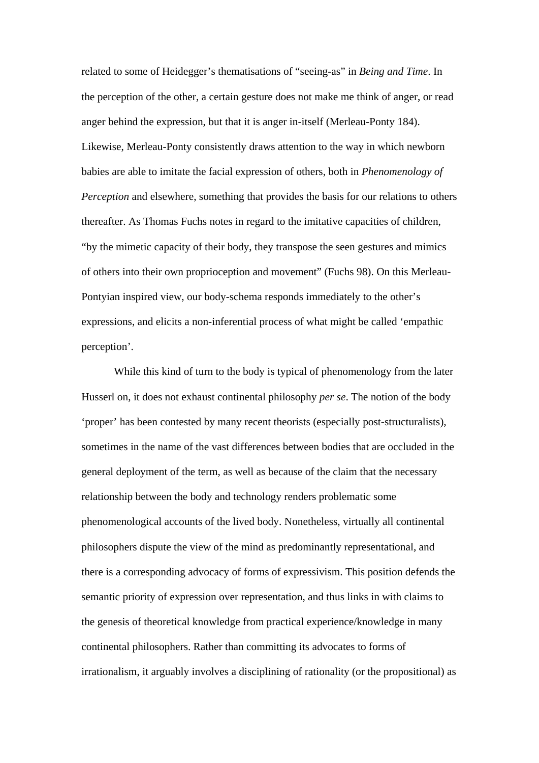related to some of Heidegger's thematisations of "seeing-as" in *Being and Time*. In the perception of the other, a certain gesture does not make me think of anger, or read anger behind the expression, but that it is anger in-itself (Merleau-Ponty 184). Likewise, Merleau-Ponty consistently draws attention to the way in which newborn babies are able to imitate the facial expression of others, both in *Phenomenology of Perception* and elsewhere, something that provides the basis for our relations to others thereafter. As Thomas Fuchs notes in regard to the imitative capacities of children, "by the mimetic capacity of their body, they transpose the seen gestures and mimics of others into their own proprioception and movement" (Fuchs 98). On this Merleau-Pontyian inspired view, our body-schema responds immediately to the other's expressions, and elicits a non-inferential process of what might be called 'empathic perception'.

While this kind of turn to the body is typical of phenomenology from the later Husserl on, it does not exhaust continental philosophy *per se*. The notion of the body 'proper' has been contested by many recent theorists (especially post-structuralists), sometimes in the name of the vast differences between bodies that are occluded in the general deployment of the term, as well as because of the claim that the necessary relationship between the body and technology renders problematic some phenomenological accounts of the lived body. Nonetheless, virtually all continental philosophers dispute the view of the mind as predominantly representational, and there is a corresponding advocacy of forms of expressivism. This position defends the semantic priority of expression over representation, and thus links in with claims to the genesis of theoretical knowledge from practical experience/knowledge in many continental philosophers. Rather than committing its advocates to forms of irrationalism, it arguably involves a disciplining of rationality (or the propositional) as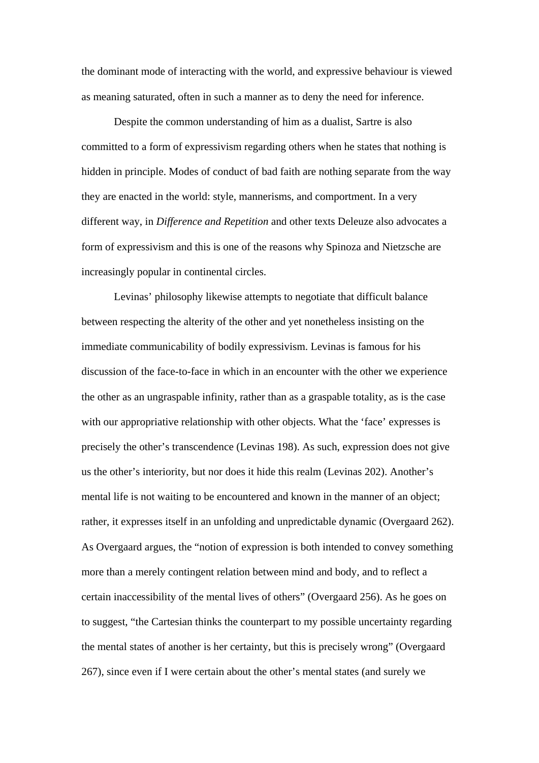the dominant mode of interacting with the world, and expressive behaviour is viewed as meaning saturated, often in such a manner as to deny the need for inference.

Despite the common understanding of him as a dualist, Sartre is also committed to a form of expressivism regarding others when he states that nothing is hidden in principle. Modes of conduct of bad faith are nothing separate from the way they are enacted in the world: style, mannerisms, and comportment. In a very different way, in *Difference and Repetition* and other texts Deleuze also advocates a form of expressivism and this is one of the reasons why Spinoza and Nietzsche are increasingly popular in continental circles.

Levinas' philosophy likewise attempts to negotiate that difficult balance between respecting the alterity of the other and yet nonetheless insisting on the immediate communicability of bodily expressivism. Levinas is famous for his discussion of the face-to-face in which in an encounter with the other we experience the other as an ungraspable infinity, rather than as a graspable totality, as is the case with our appropriative relationship with other objects. What the 'face' expresses is precisely the other's transcendence (Levinas 198). As such, expression does not give us the other's interiority, but nor does it hide this realm (Levinas 202). Another's mental life is not waiting to be encountered and known in the manner of an object; rather, it expresses itself in an unfolding and unpredictable dynamic (Overgaard 262). As Overgaard argues, the "notion of expression is both intended to convey something more than a merely contingent relation between mind and body, and to reflect a certain inaccessibility of the mental lives of others" (Overgaard 256). As he goes on to suggest, "the Cartesian thinks the counterpart to my possible uncertainty regarding the mental states of another is her certainty, but this is precisely wrong" (Overgaard 267), since even if I were certain about the other's mental states (and surely we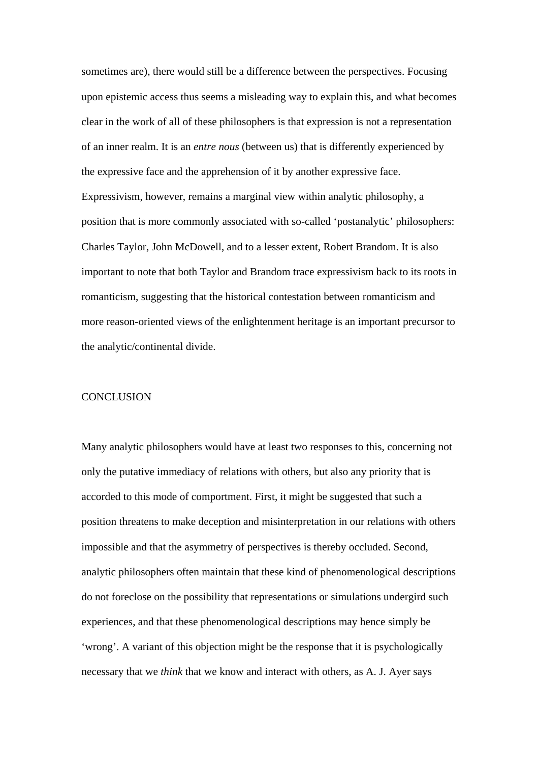sometimes are), there would still be a difference between the perspectives. Focusing upon epistemic access thus seems a misleading way to explain this, and what becomes clear in the work of all of these philosophers is that expression is not a representation of an inner realm. It is an *entre nous* (between us) that is differently experienced by the expressive face and the apprehension of it by another expressive face. Expressivism, however, remains a marginal view within analytic philosophy, a position that is more commonly associated with so-called 'postanalytic' philosophers: Charles Taylor, John McDowell, and to a lesser extent, Robert Brandom. It is also important to note that both Taylor and Brandom trace expressivism back to its roots in romanticism, suggesting that the historical contestation between romanticism and more reason-oriented views of the enlightenment heritage is an important precursor to the analytic/continental divide.

#### **CONCLUSION**

Many analytic philosophers would have at least two responses to this, concerning not only the putative immediacy of relations with others, but also any priority that is accorded to this mode of comportment. First, it might be suggested that such a position threatens to make deception and misinterpretation in our relations with others impossible and that the asymmetry of perspectives is thereby occluded. Second, analytic philosophers often maintain that these kind of phenomenological descriptions do not foreclose on the possibility that representations or simulations undergird such experiences, and that these phenomenological descriptions may hence simply be 'wrong'. A variant of this objection might be the response that it is psychologically necessary that we *think* that we know and interact with others, as A. J. Ayer says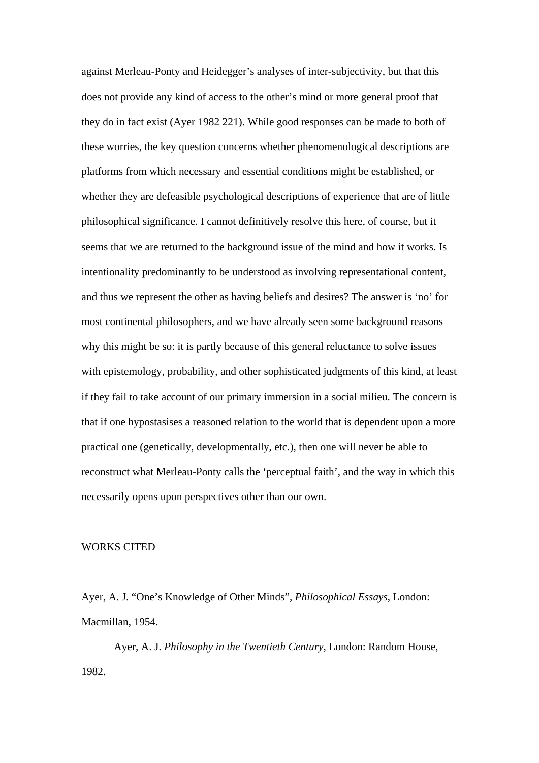against Merleau-Ponty and Heidegger's analyses of inter-subjectivity, but that this does not provide any kind of access to the other's mind or more general proof that they do in fact exist (Ayer 1982 221). While good responses can be made to both of these worries, the key question concerns whether phenomenological descriptions are platforms from which necessary and essential conditions might be established, or whether they are defeasible psychological descriptions of experience that are of little philosophical significance. I cannot definitively resolve this here, of course, but it seems that we are returned to the background issue of the mind and how it works. Is intentionality predominantly to be understood as involving representational content, and thus we represent the other as having beliefs and desires? The answer is 'no' for most continental philosophers, and we have already seen some background reasons why this might be so: it is partly because of this general reluctance to solve issues with epistemology, probability, and other sophisticated judgments of this kind, at least if they fail to take account of our primary immersion in a social milieu. The concern is that if one hypostasises a reasoned relation to the world that is dependent upon a more practical one (genetically, developmentally, etc.), then one will never be able to reconstruct what Merleau-Ponty calls the 'perceptual faith', and the way in which this necessarily opens upon perspectives other than our own.

#### WORKS CITED

Ayer, A. J. "One's Knowledge of Other Minds", *Philosophical Essays*, London: Macmillan, 1954.

Ayer, A. J. *Philosophy in the Twentieth Century*, London: Random House, 1982.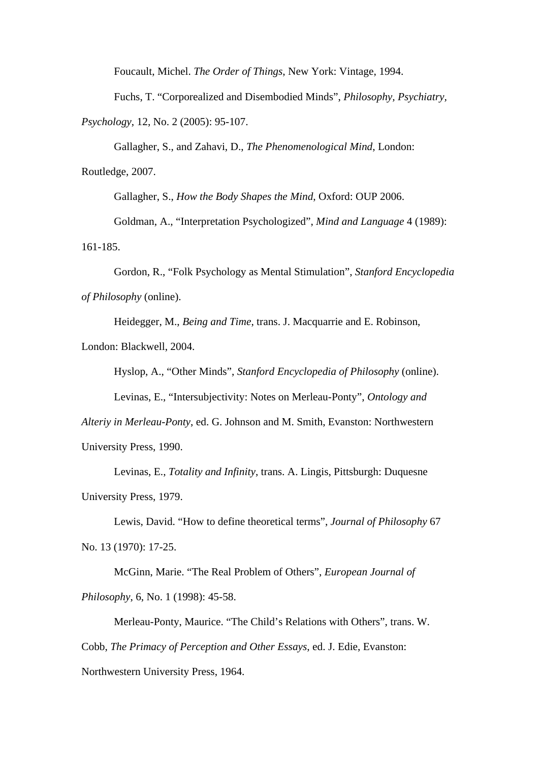Foucault, Michel. *The Order of Things*, New York: Vintage, 1994.

Fuchs, T. "Corporealized and Disembodied Minds", *Philosophy, Psychiatry, Psychology*, 12, No. 2 (2005): 95-107.

Gallagher, S., and Zahavi, D., *The Phenomenological Mind*, London: Routledge, 2007.

Gallagher, S., *How the Body Shapes the Mind*, Oxford: OUP 2006.

Goldman, A., "Interpretation Psychologized", *Mind and Language* 4 (1989): 161-185.

Gordon, R., "Folk Psychology as Mental Stimulation", *Stanford Encyclopedia of Philosophy* (online).

Heidegger, M., *Being and Time*, trans. J. Macquarrie and E. Robinson,

London: Blackwell, 2004.

Hyslop, A., "Other Minds", *Stanford Encyclopedia of Philosophy* (online).

Levinas, E., "Intersubjectivity: Notes on Merleau-Ponty", *Ontology and* 

*Alteriy in Merleau-Ponty*, ed. G. Johnson and M. Smith, Evanston: Northwestern University Press, 1990.

Levinas, E., *Totality and Infinity*, trans. A. Lingis, Pittsburgh: Duquesne University Press, 1979.

Lewis, David. "How to define theoretical terms", *Journal of Philosophy* 67 No. 13 (1970): 17-25.

McGinn, Marie. "The Real Problem of Others", *European Journal of Philosophy*, 6, No. 1 (1998): 45-58.

Merleau-Ponty, Maurice. "The Child's Relations with Others", trans. W. Cobb, *The Primacy of Perception and Other Essays*, ed. J. Edie, Evanston: Northwestern University Press, 1964.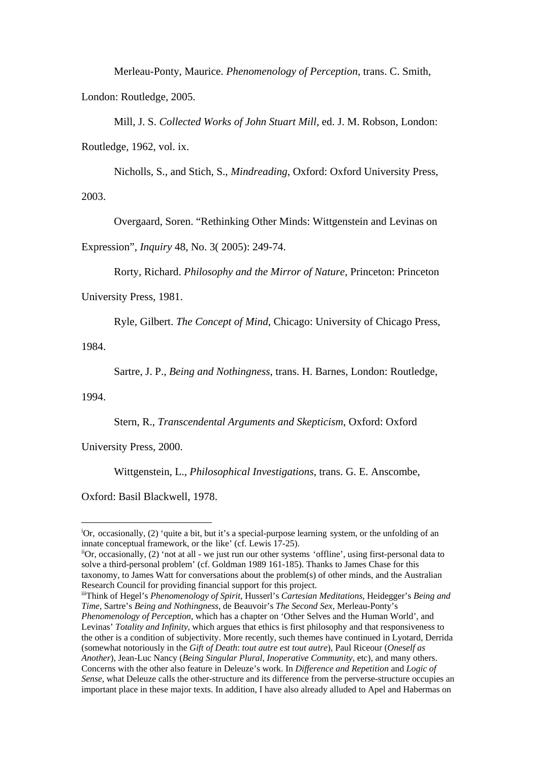Merleau-Ponty, Maurice. *Phenomenology of Perception*, trans. C. Smith, London: Routledge, 2005.

Mill, J. S. *Collected Works of John Stuart Mill*, ed. J. M. Robson, London: Routledge, 1962, vol. ix.

Nicholls, S., and Stich, S., *Mindreading*, Oxford: Oxford University Press, 2003.

Overgaard, Soren. "Rethinking Other Minds: Wittgenstein and Levinas on

Expression", *Inquiry* 48, No. 3( 2005): 249-74.

Rorty, Richard. *Philosophy and the Mirror of Nature*, Princeton: Princeton

University Press, 1981.

Ryle, Gilbert. *The Concept of Mind*, Chicago: University of Chicago Press,

1984.

Sartre, J. P., *Being and Nothingness*, trans. H. Barnes, London: Routledge,

1994.

1

Stern, R., *Transcendental Arguments and Skepticism*, Oxford: Oxford

University Press, 2000.

Wittgenstein, L., *Philosophical Investigations*, trans. G. E. Anscombe,

Oxford: Basil Blackwell, 1978.

solve a third-personal problem' (cf. Goldman 1989 161-185). Thanks to James Chase for this taxonomy, to James Watt for conversations about the problem(s) of other minds, and the Australian Research Council for providing financial support for this project.

iiiThink of Hegel's *Phenomenology of Spirit*, Husserl's *Cartesian Meditations*, Heidegger's *Being and Time*, Sartre's *Being and Nothingness*, de Beauvoir's *The Second Sex*, Merleau-Ponty's

*Phenomenology of Perception*, which has a chapter on 'Other Selves and the Human World', and Levinas' *Totality and Infinity*, which argues that ethics is first philosophy and that responsiveness to the other is a condition of subjectivity. More recently, such themes have continued in Lyotard, Derrida (somewhat notoriously in the *Gift of Death*: *tout autre est tout autre*), Paul Riceour (*Oneself as Another*), Jean-Luc Nancy (*Being Singular Plural*, *Inoperative Community*, etc), and many others. Concerns with the other also feature in Deleuze's work. In *Difference and Repetition* and *Logic of Sense*, what Deleuze calls the other-structure and its difference from the perverse-structure occupies an important place in these major texts. In addition, I have also already alluded to Apel and Habermas on

i Or, occasionally, (2) 'quite a bit, but it's a special-purpose learning system, or the unfolding of an innate conceptual framework, or the like' (cf. Lewis 17-25).<br>iiOr, occasionally, (2) 'not at all - we just run our other systems 'offline', using first-personal data to